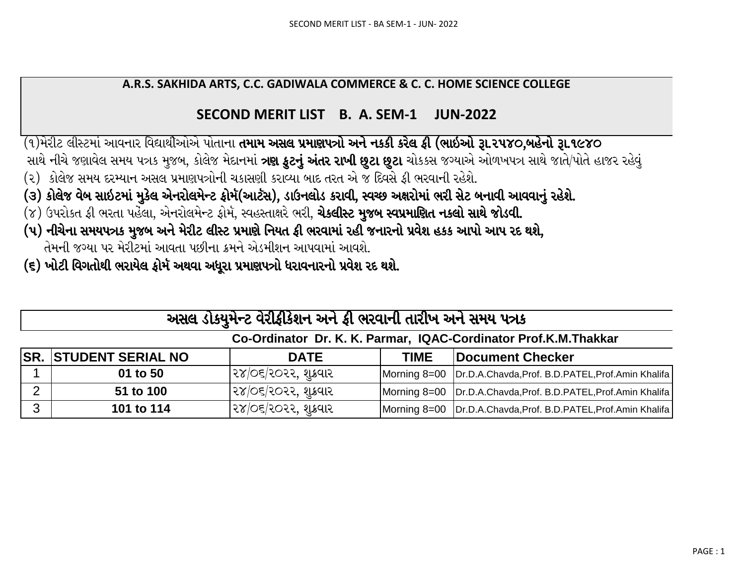## A.R.S. SAKHIDA ARTS, C.C. GADIWALA COMMERCE & C. C. HOME SCIENCE COLLEGE

## SECOND MERIT LIST B. A. SEM-1 JUN-2022

(૧)મેરીટ લીસ્ટમાં આવનાર વિદ્યાર્થીઓએ પોતાના **તમામ અસલ પ્રમાણપત્રો અને નકકી કરેલ ફી (ભાઇઓ રૂા.૨૫૪૦,બહેનો રૂા.૧૯૪૦** સાથે નીચે જણાવેલ સમય પત્રક મુજબ, કોલેજ મેદાનમાં **ત્રણ કુટનું અંતર રાખી છુટા છુટા** ચોકકસ જગ્યાએ ઓળખપત્ર સાથે જાતે/પોતે હાજર રહેવું

- (૨) કોલેજ સમય દરમ્યાન અસલ પ્રમાણપત્રોની ચકાસણી કરાવ્યા બાદ તરત એ જ દિવસે ફી ભરવાની રહેશે.
- (૩) કોલેજ વેબ સાઇટમાં મુકેલ એનરોલમેન્ટ ફોર્મ(આર્ટસ), ડાઉનલોડ કરાવી, સ્વચ્છ અક્ષરોમાં ભરી સેટ બનાવી આવવાનું રહેશે.
- (૪) ઉપરોકત ફી ભરતા પહેલા, એનરોલમેન્ટ ફોર્મ, સ્વહસ્તાક્ષરે ભરી, **ચેકલીસ્ટ મુજબ સ્વપ્રમાણિત નકલો સાથે જોડવી.**
- (૫) નીચેના સમયપત્રક મુજબ અને મેરીટ લીસ્ટ પ્રમાણે નિયત ફી ભરવામાં રહી જનારનો પ્રવેશ હકક આપો આપ રદ થશે, તેમની જગ્યા પર મેરીટમાં આવતા પછીના ક્રમને એડમીશન આપવામાં આવશે.
- (૬) ખોટી વિગતોથી ભરાયેલ કોર્મ અથવા અધરા પ્રમાણપત્રો ધરાવનારનો પ્રવેશ રદ થશે.

|              | અસલ ડોક્યુમેન્ટ વેરીફીકેશન અને ફી ભરવાની તારીખ અને સમય પત્રક    |                      |  |                                                                  |  |  |  |  |  |  |  |  |  |  |
|--------------|-----------------------------------------------------------------|----------------------|--|------------------------------------------------------------------|--|--|--|--|--|--|--|--|--|--|
|              | Co-Ordinator Dr. K. K. Parmar, IQAC-Cordinator Prof.K.M.Thakkar |                      |  |                                                                  |  |  |  |  |  |  |  |  |  |  |
|              | <b>SR. STUDENT SERIAL NO</b>                                    | <b>DATE</b>          |  | <b>TIME</b>   Document Checker                                   |  |  |  |  |  |  |  |  |  |  |
|              | 01 to 50                                                        | ૨૪/૦૬/૨૦૨૨, શુક્રવાર |  | Morning 8=00   Dr.D.A.Chavda, Prof. B.D.PATEL, Prof.Amin Khalifa |  |  |  |  |  |  |  |  |  |  |
| 2            | 51 to 100                                                       | ૨૪/૦૬/૨૦૨૨, શકવાર    |  | Morning 8=00   Dr.D.A.Chavda, Prof. B.D.PATEL, Prof.Amin Khalifa |  |  |  |  |  |  |  |  |  |  |
| $\mathbf{3}$ | 101 to 114                                                      | ૨૪/૦૬/૨૦૨૨, શુક્રવાર |  | Morning 8=00   Dr.D.A.Chavda, Prof. B.D.PATEL, Prof.Amin Khalifa |  |  |  |  |  |  |  |  |  |  |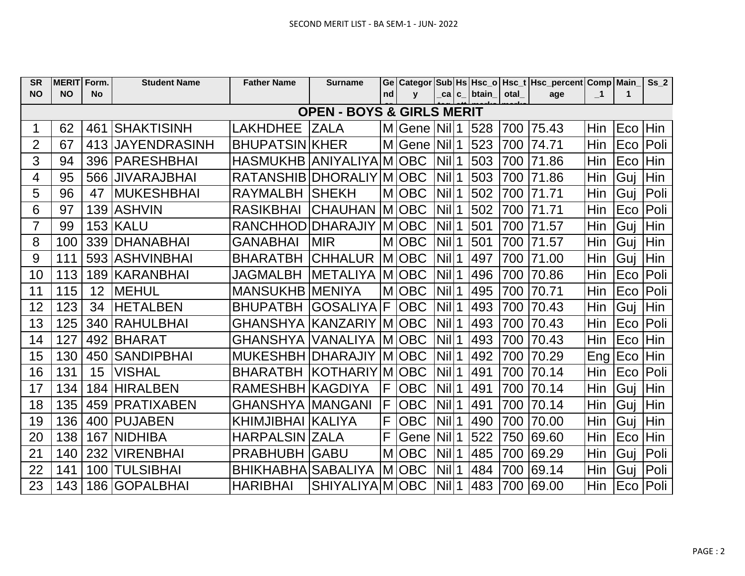| <b>SR</b>      | <b>MERIT Form.</b> |                 | <b>Student Name</b>   | <b>Father Name</b>                   | <b>Surname</b>        |    |               |                          |               |       | Ge Categor Sub Hs Hsc_o Hsc_t Hsc_percent Comp Main |              |          | Ss <sub>2</sub> |
|----------------|--------------------|-----------------|-----------------------|--------------------------------------|-----------------------|----|---------------|--------------------------|---------------|-------|-----------------------------------------------------|--------------|----------|-----------------|
| <b>NO</b>      | <b>NO</b>          | <b>No</b>       |                       |                                      |                       | nd | $\mathbf{V}$  |                          | _ca c_ btain_ | otal_ | age                                                 | $\mathbf{I}$ | 1        |                 |
|                |                    |                 |                       | <b>OPEN - BOYS &amp; GIRLS MERIT</b> |                       |    |               |                          |               |       |                                                     |              |          |                 |
|                | 62                 |                 | 461 SHAKTISINH        | LAKHDHEE ZALA                        |                       |    | M Gene Nil 1  |                          | 528           |       | 700 75.43                                           | <b>Hin</b>   | Eco Hin  |                 |
| 2              | 67                 |                 | 413 JJAYENDRASINH     | <b>BHUPATSIN KHER</b>                |                       |    | M Gene  Nil 1 |                          | 523           | 700   | 74.71                                               | Hin          | Eco      | Poli            |
| 3              | 94                 |                 | 396   PARESHBHAI      | HASMUKHB ANIYALIYA M OBC             |                       |    |               | $Nil$ <sup>1</sup>       | 503           | 700   | 71.86                                               | Hin          | Eco      | Hin             |
| 4              | 95                 | 566             | <b>JIVARAJBHAI</b>    | RATANSHIB DHORALIY MOBC              |                       |    |               | $\vert$ Nil $\vert$ 1    | 503           | 700   | 71.86                                               | Hin          | Gui      | <b>Hin</b>      |
| 5              | 96                 | 47              | <b>MUKESHBHAI</b>     | RAYMALBH SHEKH                       |                       |    | MOBC          | $Nil$ <sup>1</sup>       | 502           | 700   | 71.71                                               | Hin          | Guj      | Poli            |
| 6              | 97                 |                 | 139 ASHVIN            | <b>RASIKBHAI</b>                     | CHAUHAN  M  OBC       |    |               | $Nil$ <sup>1</sup>       | 502           | 700   | 71.71                                               | Hin          | Eco      | Poli            |
| $\overline{7}$ | 99                 |                 | <b>153 KALU</b>       | RANCHHOD DHARAJIY MOBC               |                       |    |               | $Nil$ <sup>1</sup>       | 501           | 700   | 71.57                                               | Hin          | Guj      | Hin             |
| 8              | 100                | 339             | <b>DHANABHAI</b>      | <b>GANABHAI</b>                      | <b>MIR</b>            |    | MOBC          | $Nil$ <sup>1</sup>       | 501           | 700   | 71.57                                               | Hin          | Guj      | Hin             |
| $9\,$          | 111                |                 | 593 ASHVINBHAI        | <b>BHARATBH CHHALUR MOBC</b>         |                       |    |               | $Nil$ <sup>1</sup>       | 497           | 700   | 71.00                                               | Hin          | Guj      | Hin             |
| 10             | 113                |                 | 189 KARANBHAI         | <b>JAGMALBH</b>                      | METALIYA MOBC         |    |               | $\vert$ Nil $\vert$ 1    | 496           |       | 700 70.86                                           | Hin          | Eco      | Poli            |
| 11             | 115                | 12 <sup>2</sup> | MEHUL                 | <b>MANSUKHB MENIYA</b>               |                       |    | M OBC         | $Nil$ <sup>1</sup>       | 495           | 700   | 70.71                                               | Hin          | Eco      | Poli            |
| 12             | 123                | 34              | <b>HETALBEN</b>       | BHUPATBH GOSALIYA F OBC              |                       |    |               | $Nil$ 1                  | 493           |       | 700 70.43                                           | Hin          | Guj      | Hin             |
| 13             | 125                | 340             | <b>RAHULBHAI</b>      | GHANSHYA KANZARIY MOBC               |                       |    |               | $\left $ Nil $\right $ 1 | 493           | 700   | 70.43                                               | Hin          | Eco      | Poli            |
| 14             | 127                |                 | 492 BHARAT            | GHANSHYA   VANALIYA   M   OBC        |                       |    |               | $\left $ Nil $\right $ 1 | 493           | 700   | 70.43                                               | <b>Hin</b>   | Eco      | Hin             |
| 15             | 130                | 450             | ISANDIPBHAI           | MUKESHBH DHARAJIY   M   OBC          |                       |    |               | Nil                      | 492           | 700   | 70.29                                               | Eng          | Eco      | Hin             |
| 16             | 131                | 15              | <b>VISHAL</b>         | BHARATBH KOTHARIY MOBC               |                       |    |               | <b>Nil</b>               | 491           | 700   | 70.14                                               | <b>Hin</b>   | Eco      | Poli            |
| 17             | 134                | 184             | <b>HIRALBEN</b>       | RAMESHBH KAGDIYA                     |                       | IF | <b>OBC</b>    | $Nil$ <sup>1</sup>       | 491           | 700   | 70.14                                               | Hin          | Gui      | Hin             |
| 18             | 135                |                 | 459   PRATIXABEN      | <b>GHANSHYA MANGANI</b>              |                       | lF | <b>OBC</b>    | $Nil$ <sup>1</sup>       | 491           | 700   | 70.14                                               | Hin          | Guj      | Hin             |
| 19             | 136                |                 | 400 PUJABEN           | KHIMJIBHAI KALIYA                    |                       | F  | <b>OBC</b>    | <b>Nil</b>               | 490           | 700   | 70.00                                               | Hin          | Gui      | Hin             |
| 20             | 138                | 167             | INIDHIBA              | <b>HARPALSIN ZALA</b>                |                       | F  | Gene Nill1    |                          | 522           | 750   | 69.60                                               | Hin          | Eco      | Hin             |
| 21             | 140                | 232             | <b>VIRENBHAI</b>      | <b>PRABHUBH GABU</b>                 |                       |    | M OBC         | $Nil$ <sup>1</sup>       | 485           | 700   | 69.29                                               | Hin          | Guj      | Poli            |
| 22             | 141                |                 | 100 TULSIBHAI         | BHIKHABHA SABALIYA MOBC              |                       |    |               | $\left $ Nil $\right $ 1 | 484           | 700   | 69.14                                               | <b>Hin</b>   | Guj      | Poli            |
| 23             |                    |                 | 143   186   GOPALBHAI | <b>HARIBHAI</b>                      | SHIYALIYA M OBC Nil 1 |    |               |                          | 483           |       | 700 69.00                                           | Hin          | Eco Poli |                 |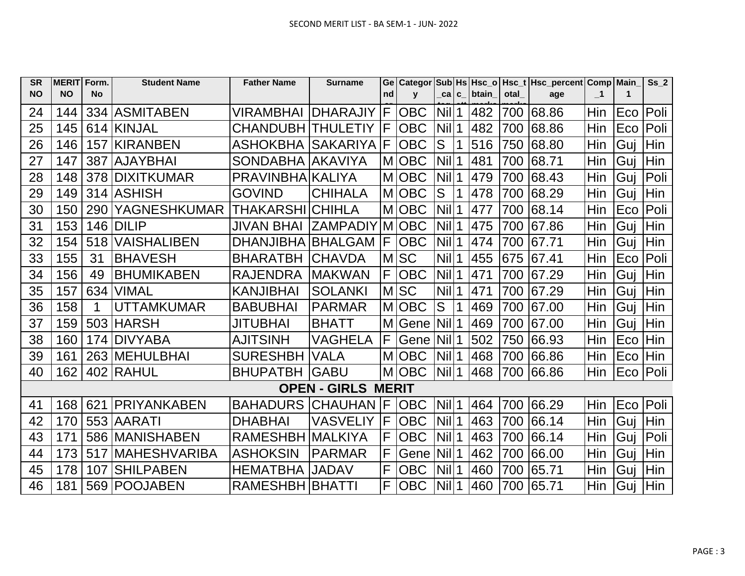| <b>SR</b> | <b>MERIT Form.</b> |           | <b>Student Name</b> | <b>Father Name</b>       | <b>Surname</b>            | Ge |              |                   |       |      | Categor Sub Hs   Hsc_o   Hsc_t   Hsc_percent   Comp   Main |                         |     | Ss <sub>2</sub> |
|-----------|--------------------|-----------|---------------------|--------------------------|---------------------------|----|--------------|-------------------|-------|------|------------------------------------------------------------|-------------------------|-----|-----------------|
| <b>NO</b> | <b>NO</b>          | <b>No</b> |                     |                          |                           | nd | $\mathbf{V}$ | cal c             | btain | otal | age                                                        | $\overline{\mathbf{1}}$ | 1   |                 |
| 24        | 144                | 334       | <b>ASMITABEN</b>    | VIRAMBHAI                | <b>DHARAJIY</b>           | IF | <b>OBC</b>   | <b>Nil</b>        | 482   | 700  | 68.86                                                      | Hin                     | Eco | Poli            |
| 25        | 145                | 614       | <b>IKINJAL</b>      | <b>CHANDUBH THULETIY</b> |                           | F  | <b>OBC</b>   | Nil               | 482   | 700  | 68.86                                                      | Hin                     | Eco | Poli            |
| 26        | 146                | 157       | <b>KIRANBEN</b>     | <b>ASHOKBHA</b>          | SAKARIYA                  | F  | <b>OBC</b>   | S                 | 516   | 750  | 68.80                                                      | Hin                     | Guj | Hin             |
| 27        | 147                | 387       | <b>AJAYBHAI</b>     | SONDABHA AKAVIYA         |                           |    | M OBC        | Nil               | 481   | 700  | 68.71                                                      | Hin                     | Guj | Hin             |
| 28        | 148                | 378       | <b>DIXITKUMAR</b>   | PRAVINBHAIKALIYA         |                           |    | MOBC         | Nil               | 479   | 700  | 68.43                                                      | Hin                     | Guj | Poli            |
| 29        | 149                | 314       | IASHISH             | <b>GOVIND</b>            | <b>CHIHALA</b>            |    | <b>MOBC</b>  | S                 | 478   | 700  | 68.29                                                      | Hin                     | Guj | Hin             |
| 30        | 150                | 290       | <b>YAGNESHKUMAR</b> | <b>THAKARSHI CHIHLA</b>  |                           |    | <b>MIOBC</b> | Nil               | 477   | 700  | 68.14                                                      | Hin                     | Eco | Poli            |
| 31        | 153                | 146       | <b>DILIP</b>        | <b>JIVAN BHAI</b>        | ZAMPADIY MOBC             |    |              | Nil               | 475   | 700  | 67.86                                                      | Hin                     | Guj | Hin             |
| 32        | 154                | 518       | <b>VAISHALIBEN</b>  | <b>DHANJIBHA</b>         | <b>BHALGAM</b>            | ΙF | <b>OBC</b>   | Nil               | 474   | 700  | 67.71                                                      | Hin                     | Guj | Hin             |
| 33        | 155                | 31        | <b>BHAVESH</b>      | <b>BHARATBH</b>          | <b>CHAVDA</b>             | M  | <b>SC</b>    | Nil               | 455   | 675  | 67.41                                                      | Hin                     | Eco | Poli            |
| 34        | 156                | 49        | <b>BHUMIKABEN</b>   | <b>RAJENDRA</b>          | IMAKWAN                   | F  | <b>OBC</b>   | Nil               | 471   | 700  | 67.29                                                      | Hin                     | Guj | Hin             |
| 35        | 157                | 634       | VIMAL               | <b>KANJIBHAI</b>         | <b>SOLANKI</b>            |    | <b>MSC</b>   | Nil               | 471   | 700  | 67.29                                                      | Hin                     | Guj | Hin             |
| 36        | 158                | 1         | <b>UTTAMKUMAR</b>   | <b>BABUBHAI</b>          | <b>PARMAR</b>             |    | <b>MOBC</b>  | S                 | 469   | 700  | 67.00                                                      | Hin                     | Guj | Hin             |
| 37        | 159                | 503       | <b>HARSH</b>        | <b>JITUBHAI</b>          | <b>BHATT</b>              |    | M Gene       | Nil               | 469   | 700  | 67.00                                                      | Hin                     | Guj | Hin             |
| 38        | 160                | 174       | <b>DIVYABA</b>      | <b>AJITSINH</b>          | VAGHELA                   | F  | Gene         | <b>Nil</b>        | 502   | 750  | 66.93                                                      | Hin                     | Eco | Hin             |
| 39        | 161                | 263       | <b>MEHULBHAI</b>    | <b>SURESHBH</b>          | VALA                      |    | <b>MIOBC</b> | Nil               | 468   | 700  | 66.86                                                      | Hin                     | Eco | Hin             |
| 40        | 162                | 402       | <b>RAHUL</b>        | <b>BHUPATBH</b>          | <b>GABU</b>               |    | M OBC        | Nill <sub>1</sub> | 468   | 700  | 66.86                                                      | Hin                     | Eco | Poli            |
|           |                    |           |                     |                          | <b>OPEN - GIRLS MERIT</b> |    |              |                   |       |      |                                                            |                         |     |                 |
| 41        | 168                | 621       | <b>PRIYANKABEN</b>  | <b>BAHADURS</b>          | <b>CHAUHAN  F</b>         |    | <b>OBC</b>   | <b>Nil</b>        | 464   | 700  | 66.29                                                      | Hin                     | Eco | Poli            |
| 42        | 170                | 553       | <b>AARATI</b>       | <b>DHABHAI</b>           | <b>VASVELIY</b>           | F  | <b>OBC</b>   | Nil               | 463   | 700  | 66.14                                                      | Hin                     | Guj | Hin             |
| 43        | 171                | 586       | <b>MANISHABEN</b>   | RAMESHBH MALKIYA         |                           | F  | <b>OBC</b>   | Nil               | 463   | 700  | 66.14                                                      | Hin                     | Guj | Poli            |
| 44        | 173                | 517       | <b>MAHESHVARIBA</b> | <b>ASHOKSIN</b>          | <b>PARMAR</b>             | F  | Gene         | Nil               | 462   | 700  | 66.00                                                      | Hin                     | Guj | Hin             |
| 45        | 178                | 107       | <b>SHILPABEN</b>    | <b>HEMATBHA</b>          | <b>JADAV</b>              | F  | <b>OBC</b>   | Nil               | 460   | 700  | 65.71                                                      | Hin                     | Guj | Hin             |
| 46        | 181                |           | 569 POOJABEN        | <b>RAMESHBH BHATTI</b>   |                           | F  | <b>OBC</b>   | <b>Nil</b>        | 460   | 700  | 65.71                                                      | Hin                     | Guj | Hin             |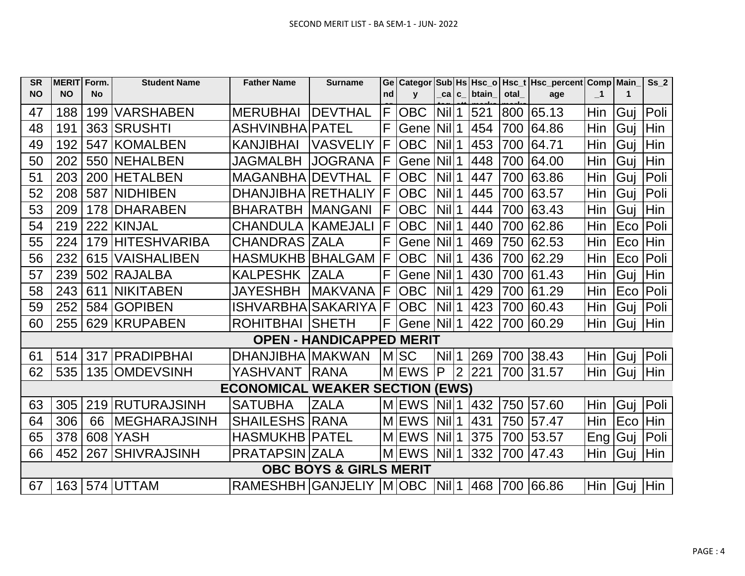| <b>SR</b> | <b>MERIT Form.</b> |           | <b>Student Name</b>  | <b>Father Name</b>                     | <b>Surname</b>                    |    | Ge   Categor |                    |                |       |      | Sub Hs   Hsc_o   Hsc_t   Hsc_percent   Comp   Main_ |                |     | Ss <sub>2</sub> |
|-----------|--------------------|-----------|----------------------|----------------------------------------|-----------------------------------|----|--------------|--------------------|----------------|-------|------|-----------------------------------------------------|----------------|-----|-----------------|
| <b>NO</b> | <b>NO</b>          | <b>No</b> |                      |                                        |                                   | nd | $\mathbf{v}$ | _ca│c_             |                | btain | otal | age                                                 | $\blacksquare$ | 1   |                 |
| 47        | 188                | 199       | <b>VARSHABEN</b>     | <b>MERUBHAI</b>                        | <b>DEVTHAL</b>                    | F  | <b>OBC</b>   | <b>Nil</b>         |                | 521   | 800  | 65.13                                               | Hin            | Gui | Poli            |
| 48        | 191                |           | 363 SRUSHTI          | <b>ASHVINBHA PATEL</b>                 |                                   | F  | Gene         | <b>Nil</b>         |                | 454   |      | 700 64.86                                           | Hin            | Guj | Hin             |
| 49        | 192                |           | 547 KOMALBEN         | <b>KANJIBHAI</b>                       | <b>VASVELIY</b>                   | F  | <b>OBC</b>   | <b>Nil</b>         |                | 453   | 700  | 64.71                                               | Hin            | Guj | Hin             |
| 50        | 202                |           | 550 NEHALBEN         | <b>JAGMALBH</b>                        | <b>JOGRANA</b>                    | F  | Gene         | <b>Nil</b>         |                | 448   | 700  | 64.00                                               | Hin            | Guj | Hin             |
| 51        | 203                |           | 200 HETALBEN         | <b>MAGANBHAIDEVTHAL</b>                |                                   | F  | <b>OBC</b>   | <b>Nil</b>         |                | 447   | 700  | 63.86                                               | Hin            | Gui | Poli            |
| 52        | 208                |           | 587 NIDHIBEN         | DHANJIBHA RETHALIY                     |                                   | F  | <b>OBC</b>   | Nil                |                | 445   | 700  | 63.57                                               | Hin            | Guj | Poli            |
| 53        | 209                |           | 178 DHARABEN         | <b>BHARATBH</b>                        | <b>MANGANI</b>                    | F  | <b>OBC</b>   | Nil                |                | 444   | 700  | 63.43                                               | Hin            | Guj | Hin             |
| 54        | 219                |           | 222 KINJAL           | <b>CHANDULA</b>                        | <b>IKAMEJALI</b>                  | F  | <b>OBC</b>   | <b>Nil</b>         |                | 440   | 700  | 62.86                                               | Hin            | Eco | Poli            |
| 55        | 224                |           | 179 HITESHVARIBA     | <b>CHANDRAS ZALA</b>                   |                                   | F  | Gene         | <b>Nil</b>         |                | 469   | 750  | 62.53                                               | Hin            | Eco | Hin             |
| 56        | 232                | 615       | <b>VAISHALIBEN</b>   | <b>HASMUKHB BHALGAM</b>                |                                   | IF | <b>OBC</b>   | <b>Nil</b>         |                | 436   | 700  | 62.29                                               | Hin            | Eco | Poli            |
| 57        | 239                |           | 502 RAJALBA          | <b>KALPESHK</b>                        | <b>ZALA</b>                       | F  | Gene         | Nil                |                | 430   | 700  | 61.43                                               | Hin            | Guj | Hin             |
| 58        | 243                |           | 611 NIKITABEN        | <b>JAYESHBH</b>                        | <b>IMAKVANA</b>                   | F  | <b>OBC</b>   | <b>Nil</b>         |                | 429   | 700  | 61.29                                               | Hin            | Eco | Poli            |
| 59        | 252                |           | 584 GOPIBEN          | ISHVARBHA SAKARIYA                     |                                   | F  | <b>OBC</b>   | <b>Nil</b>         |                | 423   |      | 700 60.43                                           | Hin            | Guj | Poli            |
| 60        | 255                |           | 629 KRUPABEN         | <b>ROHITBHAI</b>                       | <b>SHETH</b>                      | F  | Gene Nil     |                    |                | 422   | 700  | 60.29                                               | <b>Hin</b>     | Guj | Hin             |
|           |                    |           |                      |                                        | <b>OPEN - HANDICAPPED MERIT</b>   |    |              |                    |                |       |      |                                                     |                |     |                 |
| 61        | 514                |           | 317 PRADIPBHAI       | DHANJIBHA MAKWAN                       |                                   |    | <b>MSC</b>   | <b>Nil</b>         |                | 269   |      | 700 38.43                                           | Hin            | Gui | Poli            |
| 62        | 535                |           | 135 OMDEVSINH        | YASHVANT                               | <b>RANA</b>                       |    | <b>MEWS</b>  | P                  | $\overline{2}$ | 221   |      | 700 31.57                                           | Hin            | Guj | Hin             |
|           |                    |           |                      | <b>ECONOMICAL WEAKER SECTION (EWS)</b> |                                   |    |              |                    |                |       |      |                                                     |                |     |                 |
| 63        | 305                |           | 219 RUTURAJSINH      | <b>SATUBHA</b>                         | <b>ZALA</b>                       |    | <b>MEWS</b>  | Nill <sub>1</sub>  |                | 432   |      | 750 57.60                                           | Hin            | Guj | Poli            |
| 64        | 306                | 66        | <b>IMEGHARAJSINH</b> | <b>SHAILESHS RANA</b>                  |                                   |    | <b>MEWS</b>  | <b>Nil</b>         |                | 431   |      | 750 57.47                                           | Hin            | Eco | Hin             |
| 65        | 378                |           | 608 YASH             | <b>HASMUKHB   PATEL</b>                |                                   |    | <b>MEWS</b>  | <b>Nil</b>         |                | 375   | 700  | 53.57                                               | Eng            | Guj | Poli            |
| 66        | 452                |           | 267 SHIVRAJSINH      | <b>PRATAPSIN ZALA</b>                  |                                   |    | M EWS        | $Nil$ <sup>1</sup> |                | 332   |      | 700 47.43                                           | <b>Hin</b>     | Guj | Hin             |
|           |                    |           |                      |                                        | <b>OBC BOYS &amp; GIRLS MERIT</b> |    |              |                    |                |       |      |                                                     |                |     |                 |
| 67        |                    |           | 163   574   UTTAM    | RAMESHBH GANJELIY MOBC                 |                                   |    |              | <b>Nil</b>         |                | 468   |      | 700 66.86                                           | Hin            | Guj | Hin             |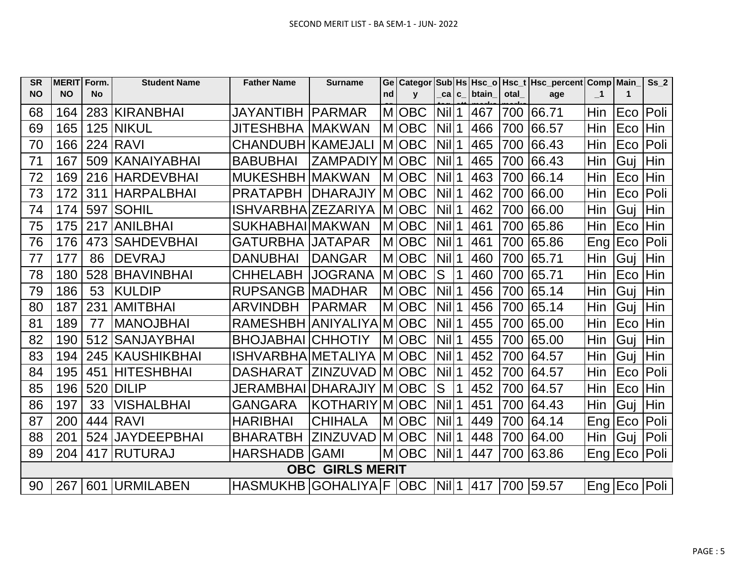| <b>SR</b> | MERIT Form. |     | <b>Student Name</b> | <b>Father Name</b>        | <b>Surname</b>         |    |              |                    |             |            |      | Ge   Categor   Sub   Hs   Hsc_o   Hsc_t   Hsc_percent   Comp   Main |                |                | Ss <sub>2</sub> |
|-----------|-------------|-----|---------------------|---------------------------|------------------------|----|--------------|--------------------|-------------|------------|------|---------------------------------------------------------------------|----------------|----------------|-----------------|
| <b>NO</b> | <b>NO</b>   | No  |                     |                           |                        | nd | $\mathbf{v}$ | ca c               |             | btain      | otal | age                                                                 | $\blacksquare$ | $\mathbf 1$    |                 |
| 68        | 164         |     | 283 KIRANBHAI       | <b>JAYANTIBH</b>          | <b>IPARMAR</b>         | M  | <b>OBC</b>   | $Nil$ 1            |             | 467        | 700  | 66.71                                                               | Hin            | Eco            | Poli            |
| 69        | 165         |     | 125 NIKUL           | JITESHBHA  MAKWAN         |                        |    | <b>MIOBC</b> | <b>Nill</b>        | $\mathbf 1$ | 466        | 700  | 66.57                                                               | Hin            | Eco            | Hin             |
| 70        | 166         |     | <b>224 RAVI</b>     | CHANDUBH KAMEJALI         |                        |    | M OBC        | Nill <sub>1</sub>  |             | 465        | 700  | 66.43                                                               | Hin            | Eco            | Poli            |
| 71        | 167         |     | 509 KANAIYABHAI     | <b>BABUBHAI</b>           | <b>ZAMPADIY</b>        |    | M OBC        | $Nil$ 1            |             | 465        | 700  | 66.43                                                               | Hin            | Guj            | Hin             |
| 72        | 169         |     | 216 HARDEVBHAI      | <b>MUKESHBH</b>           | IMAKWAN                |    | M OBC        | Nil 1              |             | 463        | 700  | 66.14                                                               | Hin            | Eco            | Hin             |
| 73        | 172         | 311 | <b>HARPALBHAI</b>   | <b>PRATAPBH</b>           | <b>DHARAJIY</b>        |    | M OBC        | Nil                | $\mathbf 1$ | 462        | 700  | 66.00                                                               | Hin            | Eco            | Poli            |
| 74        | 174         | 597 | <b>SOHIL</b>        | <b>ISHVARBHAIZEZARIYA</b> |                        |    | <b>MOBC</b>  | Nil                | $\mathbf 1$ | 462        | 700  | 66.00                                                               | Hin            | Guj            | Hin             |
| 75        | 175         | 217 | <b>ANILBHAI</b>     | SUKHABHAI MAKWAN          |                        |    | <b>MOBC</b>  | Nil                | 1           | 461        | 700  | 65.86                                                               | Hin            | Eco            | Hin             |
| 76        | 176         | 473 | <b>SAHDEVBHAI</b>   | <b>GATURBHA IJATAPAR</b>  |                        |    | <b>MOBC</b>  | $Nil$ 1            |             | 461        | 700  | 65.86                                                               | Eng            | Eco            | Poli            |
| 77        | 177         | 86  | <b>DEVRAJ</b>       | <b>DANUBHAI</b>           | <b>DANGAR</b>          |    | M OBC        | $Nil$ 1            |             | 460        | 700  | 65.71                                                               | Hin            | Guj            | Hin             |
| 78        | 180         | 528 | <b>BHAVINBHAI</b>   | <b>CHHELABH</b>           | <b>JOGRANA</b>         |    | M OBC        | S                  | $\mathbf 1$ | 460        | 700  | 65.71                                                               | Hin            | Eco            | Hin             |
| 79        | 186         | 53  | <b>KULDIP</b>       | <b>RUPSANGB MADHAR</b>    |                        |    | M OBC        | $Nil$ <sup>1</sup> |             | 456        | 700  | 65.14                                                               | Hin            | Gui            | Hin             |
| 80        | 187         | 231 | <b>AMITBHAI</b>     | <b>ARVINDBH</b>           | <b>IPARMAR</b>         |    | M OBC        | $Nil$ 1            |             | 456        | 700  | 65.14                                                               | Hin            | Guj            | Hin             |
| 81        | 189         | 77  | <b>MANOJBHAI</b>    | <b>RAMESHBH</b>           | <b>ANIYALIYA</b>       |    | M OBC        | $Nil$ 1            |             | 455        | 700  | 65.00                                                               | Hin            | Eco            | Hin             |
| 82        | 190         | 512 | <b>SANJAYBHAI</b>   | <b>BHOJABHAI</b>          | <b>CHHOTIY</b>         |    | M OBC        | $Nil$ 1            |             | 455        | 700  | 65.00                                                               | Hin            | Guj            | Hin             |
| 83        | 194         | 245 | KAUSHIKBHAI         | <b>ISHVARBHAIMETALIYA</b> |                        |    | <b>MIOBC</b> | <b>Nil</b>         | 1           | 452        | 700  | 64.57                                                               | Hin            | Gui            | Hin             |
| 84        | 195         | 451 | <b>HITESHBHAI</b>   | <b>DASHARAT</b>           | ZINZUVAD               |    | <b>MOBC</b>  | $Nil$ <sup>1</sup> |             | 452        | 700  | 64.57                                                               | Hin            | Eco            | Poli            |
| 85        | 196         | 520 | <b>DILIP</b>        | <b>JERAMBHAI</b>          | <b>DHARAJIY</b>        |    | <b>MOBC</b>  | S                  | 1           | 452        | 700  | 64.57                                                               | Hin            | Eco            | Hin             |
| 86        | 197         | 33  | <b>VISHALBHAI</b>   | <b>GANGARA</b>            | KOTHARIYI              |    | M OBC        | <b>Nil</b>         | 1           | 451        | 700  | 64.43                                                               | Hin            | Guj            | Hin             |
| 87        | 200         |     | 444 RAVI            | <b>HARIBHAI</b>           | <b>CHIHALA</b>         |    | M OBC        | $Nil$ 1            |             | 449        | 700  | 64.14                                                               | Eng   Eco      |                | Poli            |
| 88        | 201         |     | 524 JAYDEEPBHAI     | <b>BHARATBH</b>           | ZINZUVAD               |    | M OBC        | $Nil$ <sup>1</sup> |             | 448        | 700  | 64.00                                                               | Hin            | Guj            | Poli            |
| 89        | 204         |     | 417 RUTURAJ         | <b>HARSHADB</b>           | <b>GAMI</b>            |    | M OBC        | $Nil$ 1            |             | 447        | 700  | 63.86                                                               | Eng   Eco      |                | Poli            |
|           |             |     |                     |                           | <b>OBC GIRLS MERIT</b> |    |              |                    |             |            |      |                                                                     |                |                |                 |
| 90        | 267         |     | 601 URMILABEN       | HASMUKHB GOHALIYA F OBC   |                        |    |              | $Nil$ 1            |             | <b>417</b> |      | 1700 59.57                                                          |                | Eng Eco   Poli |                 |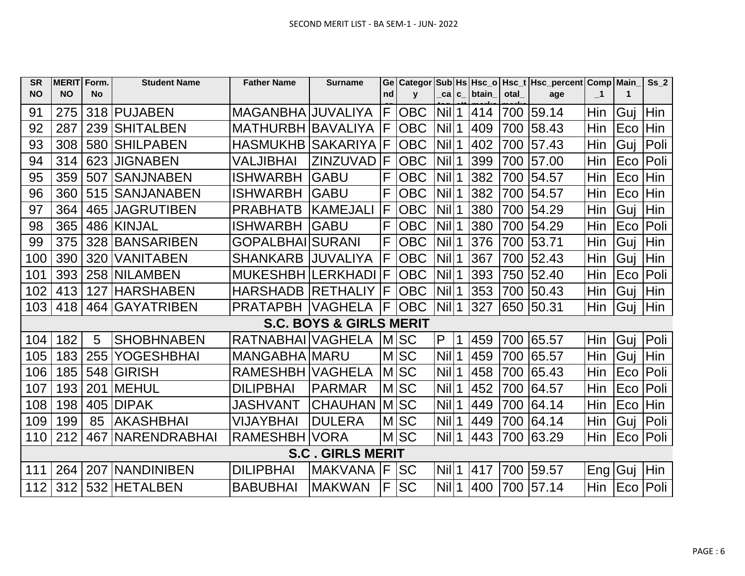| <b>SR</b> | <b>MERIT</b> | Form.     | <b>Student Name</b>  | <b>Father Name</b>       | <b>Surname</b>                     | Ge | <b>Categor</b> |                    |   |              |      | Sub Hs Hsc_o   Hsc_t   Hsc_percent   Comp   Main |                  |             | Ss <sub>2</sub> |
|-----------|--------------|-----------|----------------------|--------------------------|------------------------------------|----|----------------|--------------------|---|--------------|------|--------------------------------------------------|------------------|-------------|-----------------|
| <b>NO</b> | <b>NO</b>    | <b>No</b> |                      |                          |                                    | nd | $\mathbf{v}$   | ca c               |   | <b>btain</b> | otal | age                                              | $\blacksquare$   | $\mathbf 1$ |                 |
| 91        | 275          |           | 318 PUJABEN          | MAGANBHA JUVALIYA        |                                    | F  | <b>OBC</b>     | Nill1              |   | 414          | 700  | 59.14                                            | Hin              | Gui         | Hin             |
| 92        | 287          |           | 239 SHITALBEN        | <b>MATHURBH BAVALIYA</b> |                                    | F  | <b>OBC</b>     | Nil                | 1 | 409          | 700  | 58.43                                            | Hin              | Eco         | Hin             |
| 93        | 308          | 580       | <b>SHILPABEN</b>     | <b>HASMUKHB SAKARIYA</b> |                                    | F  | <b>OBC</b>     | Nil 1              |   | 402          | 700  | 57.43                                            | Hin              | Guj         | Poli            |
| 94        | 314          |           | 623 JIGNABEN         | VALJIBHAI                | ZINZUVAD                           | F  | <b>OBC</b>     | $Nil$ 1            |   | 399          | 700  | 57.00                                            | Hin              | Eco         | Poli            |
| 95        | 359          | 507       | <b>ISANJNABEN</b>    | <b>ISHWARBH</b>          | <b>GABU</b>                        | F  | <b>OBC</b>     | Nil                |   | 382          | 700  | 54.57                                            | Hin              | Eco         | Hin             |
| 96        | 360          |           | 515 SANJANABEN       | <b>ISHWARBH</b>          | <b>GABU</b>                        | F  | <b>OBC</b>     | <b>Nil</b>         | 1 | 382          | 700  | 54.57                                            | Hin              | Eco         | Hin             |
| 97        | 364          |           | 465 JAGRUTIBEN       | <b>PRABHATB</b>          | <b>IKAMEJALI</b>                   | F  | <b>OBC</b>     | <b>Nil</b>         |   | 380          | 700  | 54.29                                            | Hin              | Guj         | Hin             |
| 98        | 365          |           | 486 KINJAL           | <b>ISHWARBH</b>          | <b>GABU</b>                        | F  | <b>OBC</b>     | <b>Nil</b>         |   | 380          | 700  | 54.29                                            | Hin              | Eco         | Poli            |
| 99        | 375          |           | 328 BANSARIBEN       | <b>GOPALBHAILSURANI</b>  |                                    | F  | <b>OBC</b>     | <b>Nil</b>         | 1 | 376          | 700  | 53.71                                            | Hin              | Guj         | Hin             |
| 100       | 390          | 320       | <b>VANITABEN</b>     | <b>SHANKARB</b>          | <b>JUVALIYA</b>                    | F  | <b>OBC</b>     | <b>Nil</b>         | 1 | 367          | 700  | 52.43                                            | Hin              | Guj         | Hin             |
| 101       |              |           | 393   258   NILAMBEN | <b>MUKESHBH LERKHADI</b> |                                    | F  | <b>OBC</b>     | <b>Nil</b>         | 1 | 393          | 750  | 52.40                                            | Hin              | Eco         | Poli            |
| 102       | 413          | 127       | <b>HARSHABEN</b>     | <b>HARSHADB RETHALIY</b> |                                    | F  | <b>OBC</b>     | $Nil$ 1            |   | 353          | 700  | 50.43                                            | Hin              | Guj         | Hin             |
| 103       | 418          |           | 464 GAYATRIBEN       | <b>PRATAPBH VAGHELA</b>  |                                    | F  | <b>OBC</b>     | $Nil$ <sup>1</sup> |   | 327          | 650  | 50.31                                            | Hin              | Guj         | Hin             |
|           |              |           |                      |                          | <b>S.C. BOYS &amp; GIRLS MERIT</b> |    |                |                    |   |              |      |                                                  |                  |             |                 |
| 104       | 182          | 5         | <b>SHOBHNABEN</b>    | RATNABHAI VAGHELA        |                                    |    | <b>MSC</b>     | P                  |   | 459          | 700  | 65.57                                            | Hin              | Guj         | Poli            |
| 105       | 183          | 255       | <b>YOGESHBHAI</b>    | <b>MANGABHA MARU</b>     |                                    |    | <b>MSC</b>     | <b>Nil</b>         | 1 | 459          | 700  | 65.57                                            | Hin              | Guj         | Hin             |
| 106       | 185          |           | 548 GIRISH           | RAMESHBH VAGHELA         |                                    |    | <b>MSC</b>     | <b>Nil</b>         |   | 458          | 700  | 65.43                                            | Hin              | Eco         | Poli            |
| 107       | 193          | 201       | IMEHUL               | <b>DILIPBHAI</b>         | <b>PARMAR</b>                      |    | <b>MSC</b>     | <b>Nil</b>         |   | 452          | 700  | 64.57                                            | Hin              | Eco         | Poli            |
| 108       | 198          | 405       | <b>DIPAK</b>         | JASHVANT                 | <b>CHAUHAN</b>                     |    | <b>MISC</b>    | <b>Nil</b>         |   | 449          | 700  | 64.14                                            | Hin              | Eco         | Hin             |
| 109       | 199          | 85        | <b>AKASHBHAI</b>     | VIJAYBHAI                | <b>DULERA</b>                      |    | MSC            | Nil                |   | 449          | 700  | 64.14                                            | Hin              | Guj         | Poli            |
| 110       | 212          | 467       | <b>INARENDRABHAI</b> | RAMESHBH VORA            |                                    |    | MSC            | Nill1              |   | 443          | 700  | 63.29                                            | Hin              | Eco         | Poli            |
|           |              |           |                      |                          | <b>S.C. GIRLS MERIT</b>            |    |                |                    |   |              |      |                                                  |                  |             |                 |
| 111       | 264          |           | 207 INANDINIBEN      | <b>DILIPBHAI</b>         | <b>MAKVANA</b>                     | F  | <b>SC</b>      | <b>Nill</b>        |   | 417          | 700  | 59.57                                            | Eng <sub>1</sub> | Guj         | Hin             |
| 112       | 312          |           | 532 HETALBEN         | <b>BABUBHAI</b>          | <b>MAKWAN</b>                      | F  | <b>SC</b>      | Nill1              |   | 400          | 700  | 57.14                                            | Hin              | Eco         | Poli            |